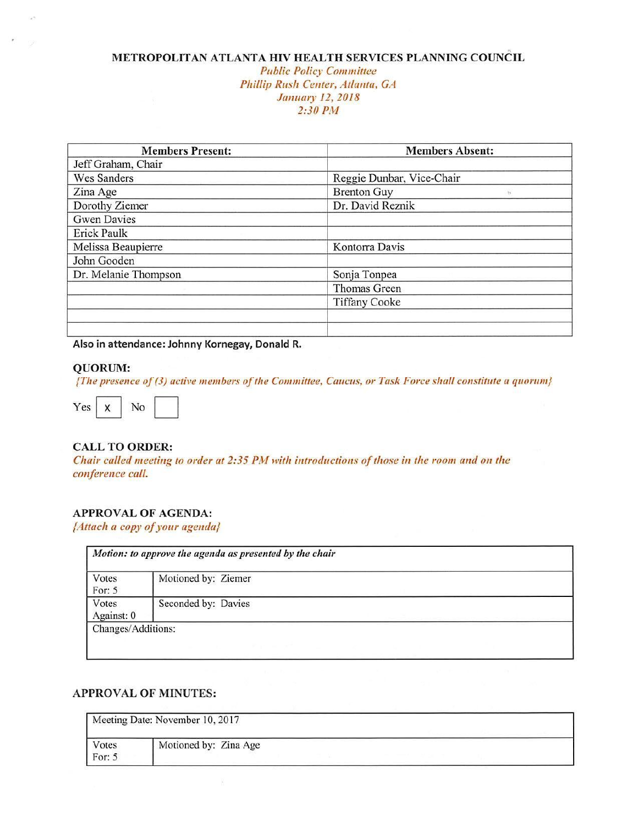#### **METROPOLITAN ATLANTA HIV HEALTH SERVICES PLANNING COUNCIL Public Policy Committee** *Phillip Rush Center,* Atlanta, *GA January 12, 2018 2:30 P1H*

| <b>Members Present:</b> | <b>Members Absent:</b>        |
|-------------------------|-------------------------------|
| Jeff Graham, Chair      |                               |
| Wes Sanders             | Reggie Dunbar, Vice-Chair     |
| Zina Age                | <b>Brenton Guy</b><br>$^{12}$ |
| Dorothy Ziemer          | Dr. David Reznik              |
| <b>Gwen Davies</b>      |                               |
| <b>Erick Paulk</b>      |                               |
| Melissa Beaupierre      | Kontorra Davis                |
| John Gooden             |                               |
| Dr. Melanie Thompson    | Sonja Tonpea                  |
|                         | Thomas Green                  |
|                         | <b>Tiffany Cooke</b>          |
|                         |                               |
|                         |                               |

**Also in attendance: Johnny Kornegay, Donald R.** 

#### **QUORUM:**

*{The presence of (3) active 111e111bers of the Committee, Caucus, or Task Force* shalt constitute *u* quorum}

{The presence of (3) active<br>Yes  $X$  No  $\boxed{X}$ 

#### **CALL TO ORDER:**

*Chair called meeting to order at 2:35 PM with introductions of those in the room and on the conference call.* 

#### **APPROVAL OF AGENDA:**

[Attach *a copy of your agenda}* 

| Votes<br>For: 5     | Motioned by: Ziemer |  |
|---------------------|---------------------|--|
| Votes<br>Against: 0 | Seconded by: Davies |  |

#### **APPROVAL OF MINUTES:**

X

|                   | Meeting Date: November 10, 2017 |  |
|-------------------|---------------------------------|--|
| Votes<br>For: $5$ | Motioned by: Zina Age           |  |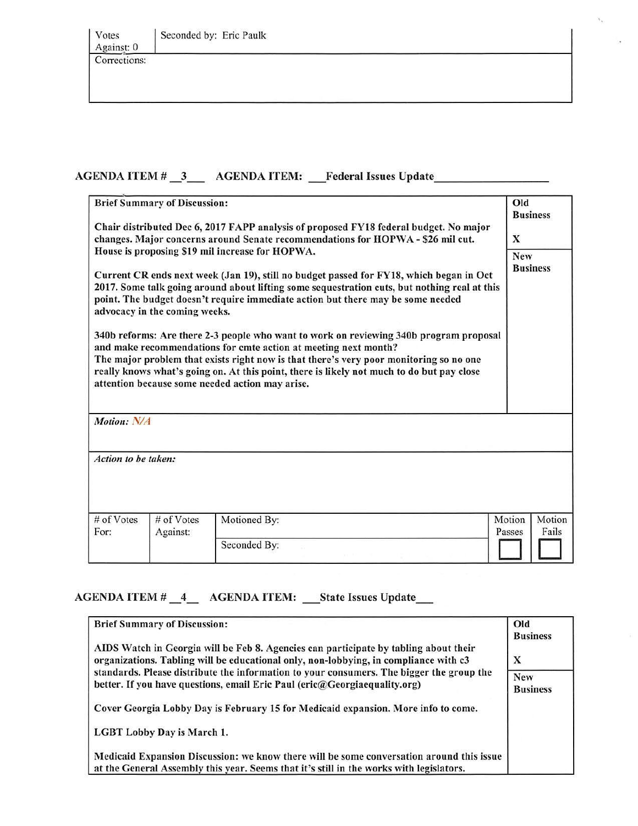| Votes<br>Against: 0 | Seconded by: Eric Paulk |  |
|---------------------|-------------------------|--|
| Corrections:        |                         |  |

### AGENDA ITEM # \_3\_\_ AGENDA ITEM: \_Federal Issues Update \_\_\_\_\_\_\_\_\_\_\_\_\_\_\_\_\_\_\_\_\_\_\_\_\_

| <b>Brief Summary of Discussion:</b><br>Chair distributed Dec 6, 2017 FAPP analysis of proposed FY18 federal budget. No major<br>changes. Major concerns around Senate recommendations for HOPWA - \$26 mil cut.                                                                                                                                                                                                                                                                                                                                                                                                                                                                                                                                                       |                        |              | Old<br><b>Business</b><br>X         |  |
|-----------------------------------------------------------------------------------------------------------------------------------------------------------------------------------------------------------------------------------------------------------------------------------------------------------------------------------------------------------------------------------------------------------------------------------------------------------------------------------------------------------------------------------------------------------------------------------------------------------------------------------------------------------------------------------------------------------------------------------------------------------------------|------------------------|--------------|-------------------------------------|--|
| House is proposing \$19 mil increase for HOPWA.<br>Current CR ends next week (Jan 19), still no budget passed for FY18, which began in Oct<br>2017. Some talk going around about lifting some sequestration cuts, but nothing real at this<br>point. The budget doesn't require immediate action but there may be some needed<br>advocacy in the coming weeks.<br>340b reforms: Are there 2-3 people who want to work on reviewing 340b program proposal<br>and make recommendations for cmte action at meeting next month?<br>The major problem that exists right now is that there's very poor monitoring so no one<br>really knows what's going on. At this point, there is likely not much to do but pay close<br>attention because some needed action may arise. |                        |              | New<br><b>Business</b>              |  |
| Motion: N/A                                                                                                                                                                                                                                                                                                                                                                                                                                                                                                                                                                                                                                                                                                                                                           |                        |              |                                     |  |
| Action to be taken:                                                                                                                                                                                                                                                                                                                                                                                                                                                                                                                                                                                                                                                                                                                                                   |                        |              |                                     |  |
| # of Votes<br>For:                                                                                                                                                                                                                                                                                                                                                                                                                                                                                                                                                                                                                                                                                                                                                    | # of Votes<br>Against: | Motioned By: | Motion<br>Motion<br>Fails<br>Passes |  |
|                                                                                                                                                                                                                                                                                                                                                                                                                                                                                                                                                                                                                                                                                                                                                                       |                        | Seconded By: |                                     |  |

'·

## AGENDA ITEM # \_4\_ AGENDA ITEM: \_State Issues Update\_

| <b>Brief Summary of Discussion:</b>                                                                                                                                                 | Old                           |
|-------------------------------------------------------------------------------------------------------------------------------------------------------------------------------------|-------------------------------|
|                                                                                                                                                                                     | <b>Business</b>               |
| AIDS Watch in Georgia will be Feb 8. Agencies can participate by tabling about their<br>organizations. Tabling will be educational only, non-lobbying, in compliance with c3        | X                             |
| standards. Please distribute the information to your consumers. The bigger the group the<br>better. If you have questions, email Eric Paul (eric@Georgiaequality.org)               | <b>New</b><br><b>Business</b> |
| Cover Georgia Lobby Day is February 15 for Medicaid expansion. More info to come.                                                                                                   |                               |
| LGBT Lobby Day is March 1.                                                                                                                                                          |                               |
| Medicaid Expansion Discussion: we know there will be some conversation around this issue<br>at the General Assembly this year. Seems that it's still in the works with legislators. |                               |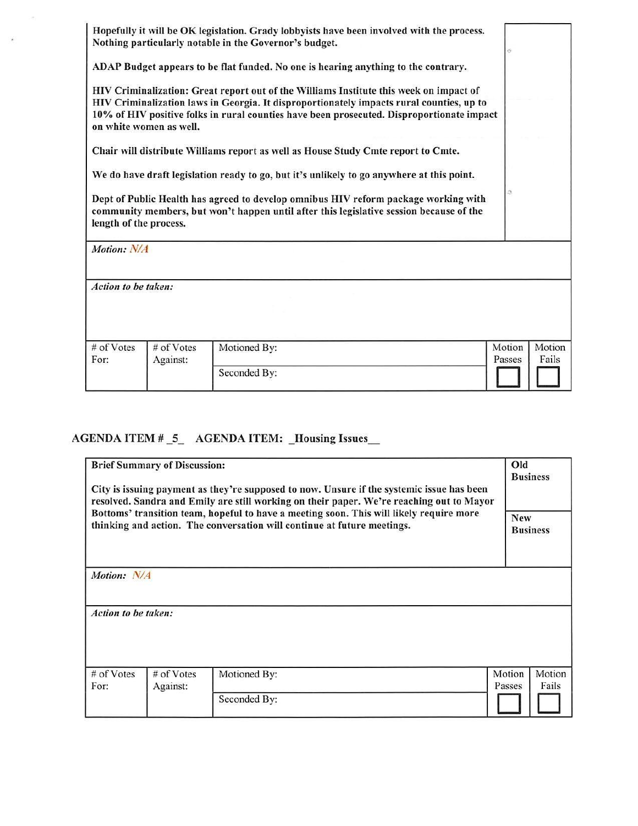|                        |                         | Hopefully it will be OK legislation. Grady lobbyists have been involved with the process.<br>Nothing particularly notable in the Governor's budget.                                                                                                                             |                  |
|------------------------|-------------------------|---------------------------------------------------------------------------------------------------------------------------------------------------------------------------------------------------------------------------------------------------------------------------------|------------------|
|                        |                         | ADAP Budget appears to be flat funded. No one is hearing anything to the contrary.                                                                                                                                                                                              |                  |
|                        | on white women as well. | HIV Criminalization: Great report out of the Williams Institute this week on impact of<br>HIV Criminalization laws in Georgia. It disproportionately impacts rural counties, up to<br>10% of HIV positive folks in rural counties have been prosecuted. Disproportionate impact |                  |
|                        |                         | Chair will distribute Williams report as well as House Study Cmte report to Cmte.                                                                                                                                                                                               |                  |
|                        |                         | We do have draft legislation ready to go, but it's unlikely to go anywhere at this point.                                                                                                                                                                                       |                  |
| length of the process. |                         | Dept of Public Health has agreed to develop omnibus HIV reform package working with<br>community members, but won't happen until after this legislative session because of the                                                                                                  | о                |
| Motion: N/A            |                         |                                                                                                                                                                                                                                                                                 |                  |
| Action to be taken:    |                         |                                                                                                                                                                                                                                                                                 |                  |
|                        |                         |                                                                                                                                                                                                                                                                                 |                  |
| # of Votes             | # of Votes              | Motioned By:                                                                                                                                                                                                                                                                    | Motion<br>Motion |
| For:                   | Against:                |                                                                                                                                                                                                                                                                                 | Passes<br>Fails  |
|                        |                         | Seconded By:                                                                                                                                                                                                                                                                    |                  |

# AGENDA ITEM # 5 AGENDA ITEM: Housing Issues

 $\sim$ 

 $\bullet$ 

|                     | <b>Brief Summary of Discussion:</b>                                                                                                                                | City is issuing payment as they're supposed to now. Unsure if the systemic issue has been<br>resolved. Sandra and Emily are still working on their paper. We're reaching out to Mayor | Old              | <b>Business</b>               |
|---------------------|--------------------------------------------------------------------------------------------------------------------------------------------------------------------|---------------------------------------------------------------------------------------------------------------------------------------------------------------------------------------|------------------|-------------------------------|
|                     | Bottoms' transition team, hopeful to have a meeting soon. This will likely require more<br>thinking and action. The conversation will continue at future meetings. |                                                                                                                                                                                       |                  | <b>New</b><br><b>Business</b> |
| Motion: N/A         |                                                                                                                                                                    |                                                                                                                                                                                       |                  |                               |
| Action to be taken: |                                                                                                                                                                    |                                                                                                                                                                                       |                  |                               |
| # of Votes<br>For:  | # of Votes<br>Against:                                                                                                                                             | Motioned By:                                                                                                                                                                          | Motion<br>Passes | Motion<br>Fails               |
|                     |                                                                                                                                                                    | Seconded By:                                                                                                                                                                          |                  |                               |